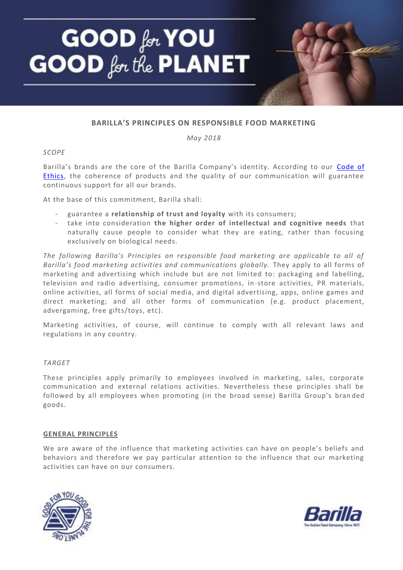

# **BARILLA'S PRINCIPLES ON RESPONSIBLE FOOD MARKETING**

*May 2018*

#### *SCOPE*

Barilla's brands are the core of the Barilla Company's identity. According to our [Code of](https://media3.barillagroup.com/bgr/cdn/Code%20of%20Ethics%202015_0.pdf)  **Ethics**, the coherence of products and the quality of our communication will guarantee continuous support for all our brands.

At the base of this commitment, Barilla shall:

- guarantee a **relationship of trust and loyalty** with its consumers;
- take into consideration **the higher order of intellectual and cognitive needs** that naturally cause people to consider what they are eating, rather than focusing exclusively on biological needs.

*The following Barilla's Principles on responsible food marketing are applicable to all of Barilla's food marketing activities and communications globally.* They apply to all forms of marketing and advertising which include but are not limited to: packaging and labelling, television and radio advertising, consumer promotions, in-store activities, PR materials, online activities, all forms of social media, and digital advertising, apps, online games and direct marketing; and all other forms of communication (e.g. product placement, advergaming, free gifts/toys, etc).

Marketing activities, of course, will continue to comply with all relevant laws and regulations in any country.

# *TARGET*

These principles apply primarily to employees involved in marketing, sales, corporate communication and external relations activities. Nevertheless these principles shall be followed by all employees when promoting (in the broad sense) Barilla Group's bran ded goods.

#### **GENERAL PRINCIPLES**

We are aware of the influence that marketing activities can have on people's beliefs and behaviors and therefore we pay particular attention to the influence that our marketing activities can have on our consumers.



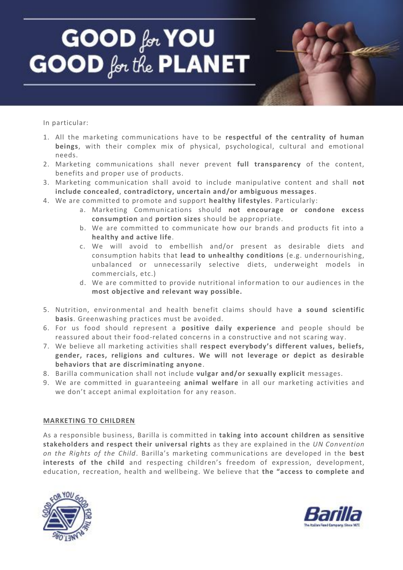# GOOD for YOU **GOOD** for the **PLANET**

In particular:

- 1. All the marketing communications have to be **respectful of the centrality of human beings**, with their complex mix of physical, psychological, cultural and emotional needs.
- 2. Marketing communications shall never prevent **full transparency** of the content, benefits and proper use of products.
- 3. Marketing communication shall avoid to include manipulative content and shall **not include concealed**, **contradictory, uncertain and/or ambiguous messages**.
- 4. We are committed to promote and support **healthy lifestyles**. Particularly:
	- a. Marketing Communications should **not encourage or condone excess consumption** and **portion sizes** should be appropriate.
	- b. We are committed to communicate how our brands and products fit into a **healthy and active life**.
	- c. We will avoid to embellish and/or present as desirable diets and consumption habits that **lead to unhealthy conditions** (e.g. undernourishing, unbalanced or unnecessarily selective diets, underweight models in commercials, etc.)
	- d. We are committed to provide nutritional information to our audiences in the **most objective and relevant way possible.**
- 5. Nutrition, environmental and health benefit claims should have **a sound scientific basis**. Greenwashing practices must be avoided.
- 6. For us food should represent a **positive daily experience** and people should be reassured about their food-related concerns in a constructive and not scaring way .
- 7. We believe all marketing activities shall **respect everybody's different values, beliefs, gender, races, religions and cultures. We will not leverage or depict as desirable behaviors that are discriminating anyone**.
- 8. Barilla communication shall not include **vulgar and/or sexually explicit** messages.
- 9. We are committed in guaranteeing **animal welfare** in all our marketing activities and we don't accept animal exploitation for any reason.

# **MARKETING TO CHILDREN**

As a responsible business, Barilla is committed in **taking into account children as sensitive stakeholders and respect their universal rights** as they are explained in the *UN Convention on the Rights of the Child*. Barilla's marketing communications are developed in the **best interests of the child** and respecting children's freedom of expression, development, education, recreation, health and wellbeing. We believe that **the "access to complete and** 



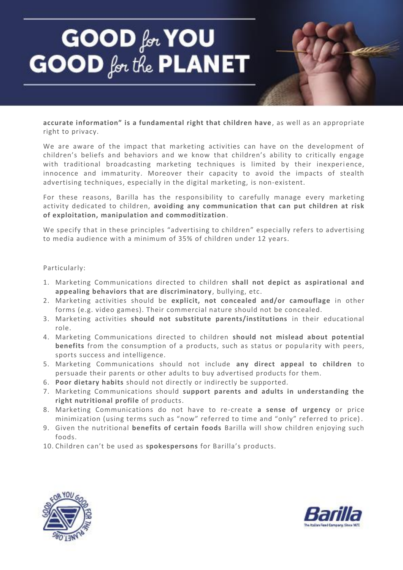# **GOOD** for YOU<br>GOOD for the PLANET

**accurate information" is a fundamental right that children have**, as well as an appropriate right to privacy.

We are aware of the impact that marketing activities can have on the development of children's beliefs and behaviors and we know that children's ability to critically engage with traditional broadcasting marketing techniques is limited by their inexperience, innocence and immaturity. Moreover their capacity to avoid the impacts of stealth advertising techniques, especially in the digital marketing, is non-existent.

For these reasons, Barilla has the responsibility to carefully manage every marketing activity dedicated to children, **avoiding any communication that can put children at risk of exploitation, manipulation and commoditization**.

We specify that in these principles "advertising to children" especially refers to advertising to media audience with a minimum of 35% of children under 12 years.

#### Particularly:

- 1. Marketing Communications directed to children **shall not depict as aspirational and appealing behaviors that are discriminatory** , bullying, etc.
- 2. Marketing activities should be **explicit, not concealed and/or camouflage** in other forms (e.g. video games). Their commercial nature should not be concealed.
- 3. Marketing activities **should not substitute parents/institutions** in their educational role.
- 4. Marketing Communications directed to children **should not mislead about potential**  benefits from the consumption of a products, such as status or popularity with peers, sports success and intelligence.
- 5. Marketing Communications should not include **any direct appeal to children** to persuade their parents or other adults to buy advertised products for them.
- 6. **Poor dietary habits** should not directly or indirectly be supported.
- 7. Marketing Communications should **support parents and adults in understanding the right nutritional profile** of products.
- 8. Marketing Communications do not have to re-create **a sense of urgency** or price minimization (using terms such as "now" referred to time and "only" referred to price) .
- 9. Given the nutritional **benefits of certain foods** Barilla will show children enjoying such foods.
- 10. Children can't be used as **spokespersons** for Barilla's products.



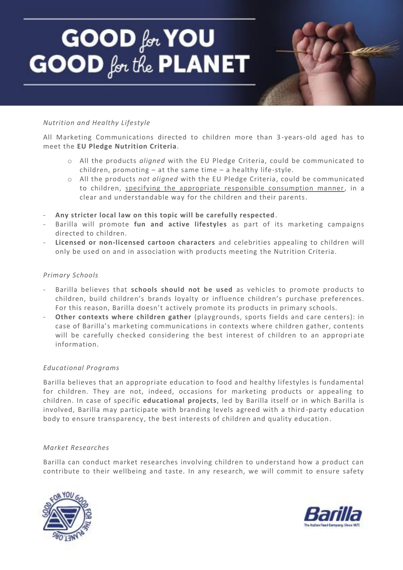# **GOOD** for YOU<br>GOOD for the PLANET

# *Nutrition and Healthy Lifestyle*

All Marketing Communications directed to children more than 3 -years-old aged has to meet the **EU Pledge Nutrition Criteria**.

- o All the products *aligned* with the EU Pledge Criteria, could be communicated to children, promoting – at the same time – a healthy life-style.
- o All the products *not aligned* with the EU Pledge Criteria, could be communicated to children, specifying the appropriate responsible consumption manner, in a clear and understandable way for the children and their parents.
- **Any stricter local law on this topic will be carefully respected** .
- Barilla will promote **fun and active lifestyles** as part of its marketing campaigns directed to children.
- **Licensed or non-licensed cartoon characters** and celebrities appealing to children will only be used on and in association with products meeting the Nutrition Criteria.

# *Primary Schools*

- Barilla believes that **schools should not be used** as vehicles to promote products to children, build children's brands loyalty or influence children's purchase preferences. For this reason, Barilla doesn't actively promote its products in primary schools.
- **Other contexts where children gather** (playgrounds, sports fields and care centers): in case of Barilla's marketing communications in contexts where children gather, contents will be carefully checked considering the best interest of children to an appropriate information.

# *Educational Programs*

Barilla believes that an appropriate education to food and healthy lifestyles is fundamental for children. They are not, indeed, occasions for marketing products or appealing to children. In case of specific **educational projects**, led by Barilla itself or in which Barilla is involved, Barilla may participate with branding levels agreed with a third -party education body to ensure transparency, the best interests of children and quality education.

# *Market Researches*

Barilla can conduct market researches involving children to understand how a product can contribute to their wellbeing and taste. In any research, we will commit to ensure safety